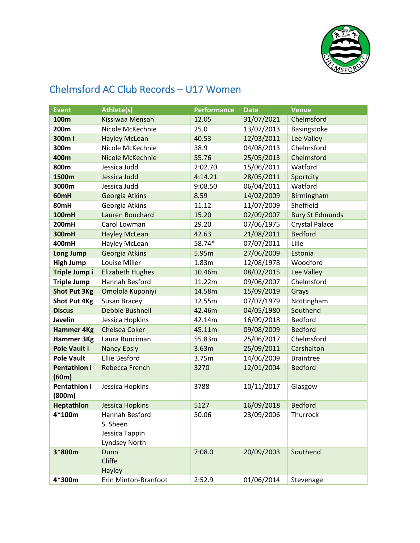

## **Event Athlete(s) Performance Date Venue 100m** Kissiwaa Mensah 12.05 31/07/2021 Chelmsford **200m** Nicole McKechnie 25.0 13/07/2013 Basingstoke **300m i** Hayley McLean 40.53 12/03/2011 Lee Valley **300m** Nicole McKechnie 38.9 04/08/2013 Chelmsford **400m** Nicole McKechnie 55.76 25/05/2013 Chelmsford **800m** Jessica Judd 2:02.70 15/06/2011 Watford **1500m** Jessica Judd 4:14.21 28/05/2011 Sportcity **3000m** Jessica Judd 9:08.50 06/04/2011 Watford **60mH** Georgia Atkins 8.59 14/02/2009 Birmingham **80mH** Georgia Atkins 11.12 11/07/2009 Sheffield **100mH** Lauren Bouchard 15.20 02/09/2007 Bury St Edmunds **200mH** Carol Lowman 29.20 07/06/1975 Crystal Palace **300mH** Hayley McLean 42.63 21/08/2011 Bedford **400mH** Hayley McLean 58.74\* 07/07/2011 Lille **Long Jump** Georgia Atkins 15.95m 27/06/2009 Estonia **High Jump** Louise Miller 1.83m 12/08/1978 Woodford **Triple Jump i** Elizabeth Hughes 10.46m 08/02/2015 Lee Valley **Triple Jump** Hannah Besford 11.22m 09/06/2007 Chelmsford **Shot Put 3Kg** Omolola Kuponiyi 14.58m 15/09/2019 Grays **Shot Put 4Kg** Susan Bracey 12.55m 07/07/1979 Nottingham **Discus** Debbie Bushnell 42.46m 04/05/1980 Southend **Javelin** Jessica Hopkins 12.14m 16/09/2018 Bedford **Hammer 4Kg** Chelsea Coker 45.11m 09/08/2009 Bedford **Hammer 3Kg** Laura Runciman 155.83m 25/06/2017 Chelmsford **Pole Vault i** Nancy Epsly 3.63m 25/09/2011 Carshalton **Pole Vault** Ellie Besford 13.75m 14/06/2009 Braintree **Pentathlon i (60m)** Rebecca French 3270 12/01/2004 Bedford **Pentathlon i (800m)** Jessica Hopkins 3788 10/11/2017 Glasgow **Heptathlon** Jessica Hopkins 15127 16/09/2018 Bedford **4\*100m** Hannah Besford S. Sheen Jessica Tappin Lyndsey North 50.06 23/09/2006 Thurrock **3\*800m** Dunn Cliffe Hayley 7:08.0 20/09/2003 Southend **4\*300m** Erin Minton-Branfoot 2:52.9 01/06/2014 Stevenage

## Chelmsford AC Club Records – U17 Women